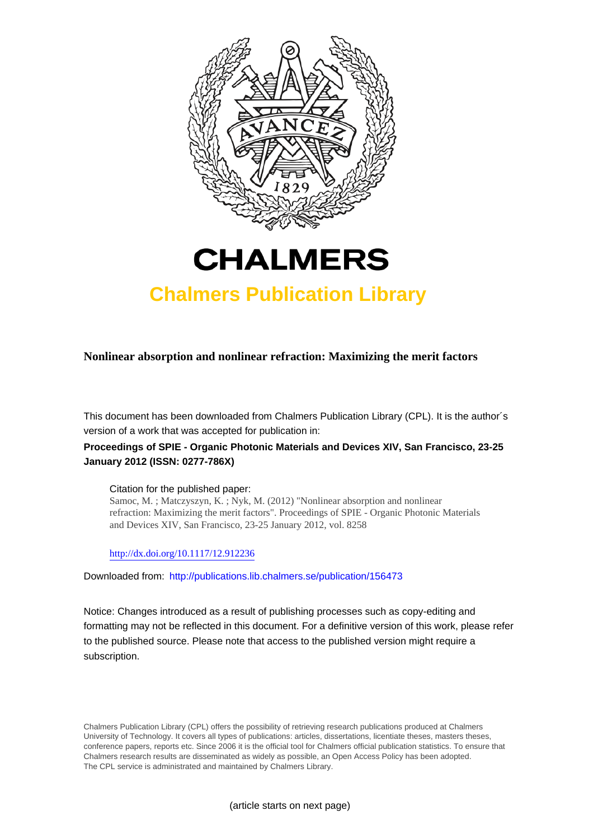



# **Chalmers Publication Library**

**Nonlinear absorption and nonlinear refraction: Maximizing the merit factors**

This document has been downloaded from Chalmers Publication Library (CPL). It is the author´s version of a work that was accepted for publication in:

## **Proceedings of SPIE - Organic Photonic Materials and Devices XIV, San Francisco, 23-25 January 2012 (ISSN: 0277-786X)**

#### Citation for the published paper:

Samoc, M. ; Matczyszyn, K. ; Nyk, M. (2012) "Nonlinear absorption and nonlinear refraction: Maximizing the merit factors". Proceedings of SPIE - Organic Photonic Materials and Devices XIV, San Francisco, 23-25 January 2012, vol. 8258

<http://dx.doi.org/10.1117/12.912236>

Downloaded from: <http://publications.lib.chalmers.se/publication/156473>

Notice: Changes introduced as a result of publishing processes such as copy-editing and formatting may not be reflected in this document. For a definitive version of this work, please refer to the published source. Please note that access to the published version might require a subscription.

Chalmers Publication Library (CPL) offers the possibility of retrieving research publications produced at Chalmers University of Technology. It covers all types of publications: articles, dissertations, licentiate theses, masters theses, conference papers, reports etc. Since 2006 it is the official tool for Chalmers official publication statistics. To ensure that Chalmers research results are disseminated as widely as possible, an Open Access Policy has been adopted. The CPL service is administrated and maintained by Chalmers Library.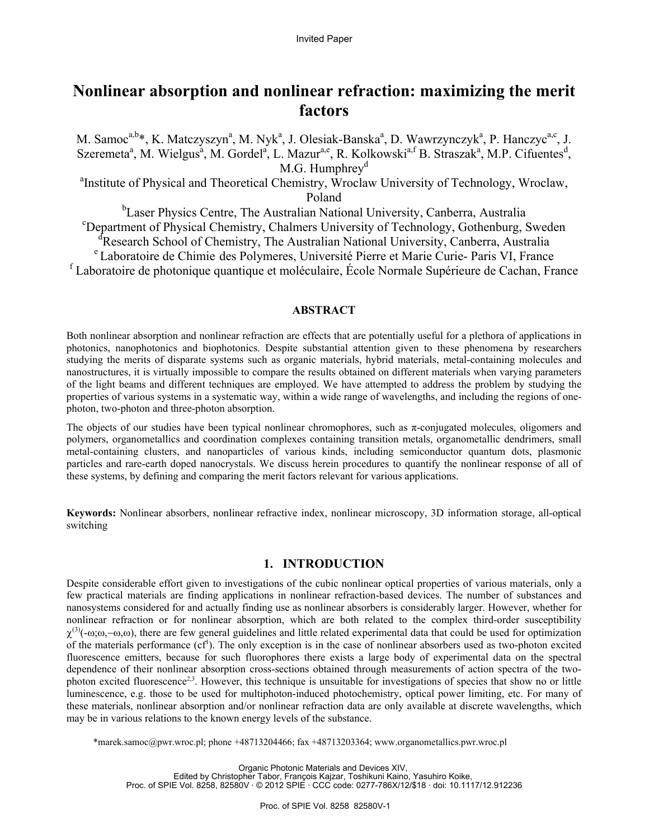## **Nonlinear absorption and nonlinear refraction: maximizing the merit factors**

M. Samoc<sup>a,b\*</sup>, K. Matczyszyn<sup>a</sup>, M. Nyk<sup>a</sup>, J. Olesiak-Banska<sup>a</sup>, D. Wawrzynczyk<sup>a</sup>, P. Hanczyc<sup>a,c</sup>, J. Szeremeta<sup>a</sup>, M. Wielgus<sup>a</sup>, M. Gordel<sup>a</sup>, L. Mazur<sup>a,e</sup>, R. Kolkowski<sup>a,f</sup> B. Straszak<sup>a</sup>, M.P. Cifuentes<sup>d</sup>, M.G. Humphrey<sup>d</sup>

<sup>a</sup>Institute of Physical and Theoretical Chemistry, Wroclaw University of Technology, Wroclaw, Poland

<sup>b</sup> Laser Physics Centre, The Australian National University, Canberra, Australia<br><sup>C</sup> Department of Physical Chamistry, Chalmars University of Technology, Gatherburg, S <sup>c</sup>Department of Physical Chemistry, Chalmers University of Technology, Gothenburg, Sweden Research School of Chemistry, The Australian National University, Canberra, Australia <sup>e</sup> Laboratoire de Chimie des Polymeres, Université Pierre et Marie Curie- Paris VI, France f Laboratoire de photonique quantique et moléculaire, École Normale Supérieure de Cachan, France

#### **ABSTRACT**

Both nonlinear absorption and nonlinear refraction are effects that are potentially useful for a plethora of applications in photonics, nanophotonics and biophotonics. Despite substantial attention given to these phenomena by researchers studying the merits of disparate systems such as organic materials, hybrid materials, metal-containing molecules and nanostructures, it is virtually impossible to compare the results obtained on different materials when varying parameters of the light beams and different techniques are employed. We have attempted to address the problem by studying the properties of various systems in a systematic way, within a wide range of wavelengths, and including the regions of onephoton, two-photon and three-photon absorption.

The objects of our studies have been typical nonlinear chromophores, such as  $\pi$ -conjugated molecules, oligomers and polymers, organometallics and coordination complexes containing transition metals, organometallic dendrimers, small metal-containing clusters, and nanoparticles of various kinds, including semiconductor quantum dots, plasmonic particles and rare-earth doped nanocrystals. We discuss herein procedures to quantify the nonlinear response of all of these systems, by defining and comparing the merit factors relevant for various applications.

**Keywords:** Nonlinear absorbers, nonlinear refractive index, nonlinear microscopy, 3D information storage, all-optical switching

### **1. INTRODUCTION**

Despite considerable effort given to investigations of the cubic nonlinear optical properties of various materials, only a few practical materials are finding applications in nonlinear refraction-based devices. The number of substances and nanosystems considered for and actually finding use as nonlinear absorbers is considerably larger. However, whether for nonlinear refraction or for nonlinear absorption, which are both related to the complex third-order susceptibility  $\chi^{(3)}(-\omega;\omega,-\omega,\omega)$ , there are few general guidelines and little related experimental data that could be used for optimization of the materials performance  $(cf)$ . The only exception is in the case of nonlinear absorbers used as two-photon excited fluorescence emitters, because for such fluorophores there exists a large body of experimental data on the spectral dependence of their nonlinear absorption cross-sections obtained through measurements of action spectra of the twophoton excited fluorescence<sup>2,3</sup>. However, this technique is unsuitable for investigations of species that show no or little luminescence, e.g. those to be used for multiphoton-induced photochemistry, optical power limiting, etc. For many of these materials, nonlinear absorption and/or nonlinear refraction data are only available at discrete wavelengths, which may be in various relations to the known energy levels of the substance.

\*marek.samoc@pwr.wroc.pl; phone +48713204466; fax +48713203364; www.organometallics.pwr.wroc.pl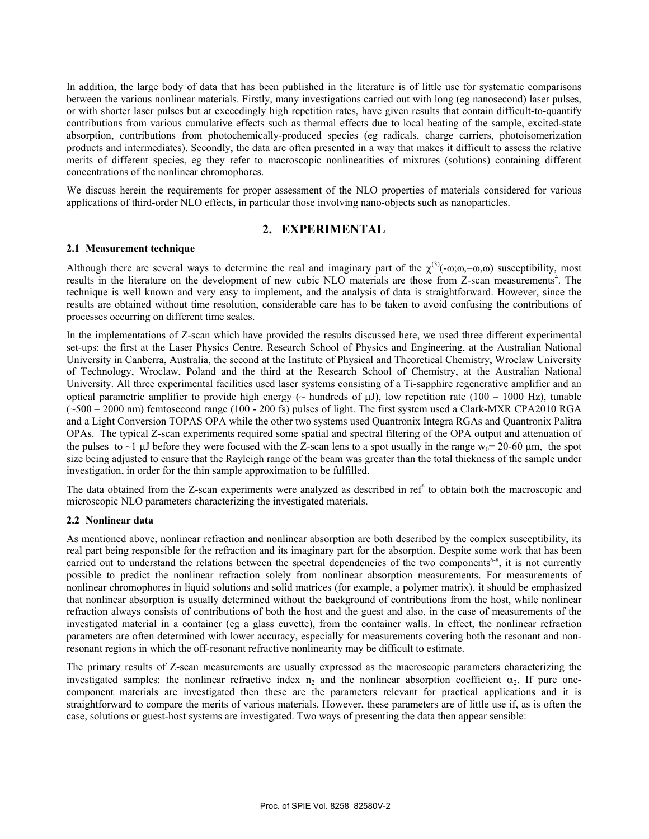In addition, the large body of data that has been published in the literature is of little use for systematic comparisons between the various nonlinear materials. Firstly, many investigations carried out with long (eg nanosecond) laser pulses, or with shorter laser pulses but at exceedingly high repetition rates, have given results that contain difficult-to-quantify contributions from various cumulative effects such as thermal effects due to local heating of the sample, excited-state absorption, contributions from photochemically-produced species (eg radicals, charge carriers, photoisomerization products and intermediates). Secondly, the data are often presented in a way that makes it difficult to assess the relative merits of different species, eg they refer to macroscopic nonlinearities of mixtures (solutions) containing different concentrations of the nonlinear chromophores.

We discuss herein the requirements for proper assessment of the NLO properties of materials considered for various applications of third-order NLO effects, in particular those involving nano-objects such as nanoparticles.

#### **2. EXPERIMENTAL**

#### **2.1 Measurement technique**

Although there are several ways to determine the real and imaginary part of the  $\chi^{(3)}(-\omega;\omega,-\omega,\omega)$  susceptibility, most results in the literature on the development of new cubic NLO materials are those from Z-scan measurements<sup>4</sup>. The technique is well known and very easy to implement, and the analysis of data is straightforward. However, since the results are obtained without time resolution, considerable care has to be taken to avoid confusing the contributions of processes occurring on different time scales.

In the implementations of Z-scan which have provided the results discussed here, we used three different experimental set-ups: the first at the Laser Physics Centre, Research School of Physics and Engineering, at the Australian National University in Canberra, Australia, the second at the Institute of Physical and Theoretical Chemistry, Wroclaw University of Technology, Wroclaw, Poland and the third at the Research School of Chemistry, at the Australian National University. All three experimental facilities used laser systems consisting of a Ti-sapphire regenerative amplifier and an optical parametric amplifier to provide high energy ( $\sim$  hundreds of μJ), low repetition rate (100 – 1000 Hz), tunable (~500 – 2000 nm) femtosecond range (100 - 200 fs) pulses of light. The first system used a Clark-MXR CPA2010 RGA and a Light Conversion TOPAS OPA while the other two systems used Quantronix Integra RGAs and Quantronix Palitra OPAs. The typical Z-scan experiments required some spatial and spectral filtering of the OPA output and attenuation of the pulses to  $\sim$ 1 μJ before they were focused with the Z-scan lens to a spot usually in the range  $w_0$ = 20-60 μm, the spot size being adjusted to ensure that the Rayleigh range of the beam was greater than the total thickness of the sample under investigation, in order for the thin sample approximation to be fulfilled.

The data obtained from the Z-scan experiments were analyzed as described in ref<sup>5</sup> to obtain both the macroscopic and microscopic NLO parameters characterizing the investigated materials.

#### **2.2 Nonlinear data**

As mentioned above, nonlinear refraction and nonlinear absorption are both described by the complex susceptibility, its real part being responsible for the refraction and its imaginary part for the absorption. Despite some work that has been carried out to understand the relations between the spectral dependencies of the two components<sup>6-8</sup>, it is not currently possible to predict the nonlinear refraction solely from nonlinear absorption measurements. For measurements of nonlinear chromophores in liquid solutions and solid matrices (for example, a polymer matrix), it should be emphasized that nonlinear absorption is usually determined without the background of contributions from the host, while nonlinear refraction always consists of contributions of both the host and the guest and also, in the case of measurements of the investigated material in a container (eg a glass cuvette), from the container walls. In effect, the nonlinear refraction parameters are often determined with lower accuracy, especially for measurements covering both the resonant and nonresonant regions in which the off-resonant refractive nonlinearity may be difficult to estimate.

The primary results of Z-scan measurements are usually expressed as the macroscopic parameters characterizing the investigated samples: the nonlinear refractive index n<sub>2</sub> and the nonlinear absorption coefficient  $\alpha_2$ . If pure onecomponent materials are investigated then these are the parameters relevant for practical applications and it is straightforward to compare the merits of various materials. However, these parameters are of little use if, as is often the case, solutions or guest-host systems are investigated. Two ways of presenting the data then appear sensible: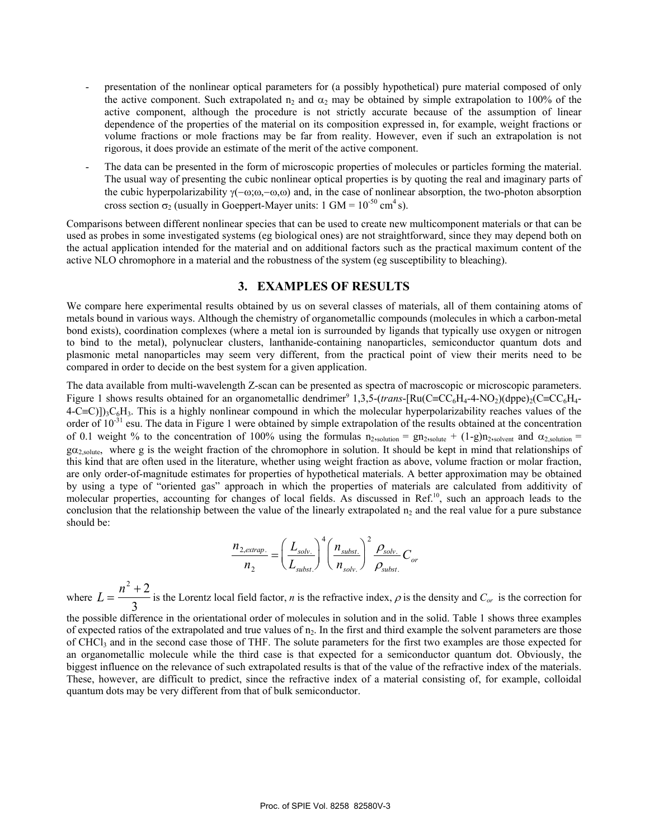- presentation of the nonlinear optical parameters for (a possibly hypothetical) pure material composed of only the active component. Such extrapolated  $n_2$  and  $\alpha_2$  may be obtained by simple extrapolation to 100% of the active component, although the procedure is not strictly accurate because of the assumption of linear dependence of the properties of the material on its composition expressed in, for example, weight fractions or volume fractions or mole fractions may be far from reality. However, even if such an extrapolation is not rigorous, it does provide an estimate of the merit of the active component.
- The data can be presented in the form of microscopic properties of molecules or particles forming the material. The usual way of presenting the cubic nonlinear optical properties is by quoting the real and imaginary parts of the cubic hyperpolarizability γ(−ω;ω,−ω,ω) and, in the case of nonlinear absorption, the two-photon absorption cross section  $\sigma_2$  (usually in Goeppert-Mayer units: 1 GM =  $10^{-50}$  cm<sup>4</sup> s).

Comparisons between different nonlinear species that can be used to create new multicomponent materials or that can be used as probes in some investigated systems (eg biological ones) are not straightforward, since they may depend both on the actual application intended for the material and on additional factors such as the practical maximum content of the active NLO chromophore in a material and the robustness of the system (eg susceptibility to bleaching).

#### **3. EXAMPLES OF RESULTS**

We compare here experimental results obtained by us on several classes of materials, all of them containing atoms of metals bound in various ways. Although the chemistry of organometallic compounds (molecules in which a carbon-metal bond exists), coordination complexes (where a metal ion is surrounded by ligands that typically use oxygen or nitrogen to bind to the metal), polynuclear clusters, lanthanide-containing nanoparticles, semiconductor quantum dots and plasmonic metal nanoparticles may seem very different, from the practical point of view their merits need to be compared in order to decide on the best system for a given application.

The data available from multi-wavelength Z-scan can be presented as spectra of macroscopic or microscopic parameters. Figure 1 shows results obtained for an organometallic dendrimer<sup>9</sup> 1,3,5-(*trans*-[Ru(C≡CC<sub>6</sub>H<sub>4</sub>-4-NO<sub>2</sub>)(dppe)<sub>2</sub>(C≡CC<sub>6</sub>H<sub>4</sub>- $4-C\equiv C$ )]) $3C_6H_3$ . This is a highly nonlinear compound in which the molecular hyperpolarizability reaches values of the order of  $10^{-31}$  esu. The data in Figure 1 were obtained by simple extrapolation of the results obtained at the concentration of 0.1 weight % to the concentration of 100% using the formulas  $n_{2,solution} = gn_{2,solute} + (1-g)n_{2,solvent}$  and  $\alpha_{2,solution} =$  $g\alpha_{2\text{ solute}}$ , where g is the weight fraction of the chromophore in solution. It should be kept in mind that relationships of this kind that are often used in the literature, whether using weight fraction as above, volume fraction or molar fraction, are only order-of-magnitude estimates for properties of hypothetical materials. A better approximation may be obtained by using a type of "oriented gas" approach in which the properties of materials are calculated from additivity of molecular properties, accounting for changes of local fields. As discussed in Ref.<sup>10</sup>, such an approach leads to the conclusion that the relationship between the value of the linearly extrapolated  $n_2$  and the real value for a pure substance should be:

$$
\frac{n_{2,extrap.}}{n_2} = \left(\frac{L_{solv.}}{L_{\text{subst}}}\right)^4 \left(\frac{n_{\text{subst.}}}{n_{\text{sub.}}}\right)^2 \frac{\rho_{solv.}}{\rho_{\text{subst.}}}C_{or}
$$

where  $L = \frac{n^2 + 2}{2}$  $\frac{1}{3}$  is the Lorentz local field factor, *n* is the refractive index,  $\rho$  is the density and  $C_{or}$  is the correction for the possible difference in the orientational order of molecules in solution and in the solid. Table 1 shows three examples

of expected ratios of the extrapolated and true values of  $n_2$ . In the first and third example the solvent parameters are those of CHCl3 and in the second case those of THF. The solute parameters for the first two examples are those expected for an organometallic molecule while the third case is that expected for a semiconductor quantum dot. Obviously, the biggest influence on the relevance of such extrapolated results is that of the value of the refractive index of the materials. These, however, are difficult to predict, since the refractive index of a material consisting of, for example, colloidal quantum dots may be very different from that of bulk semiconductor.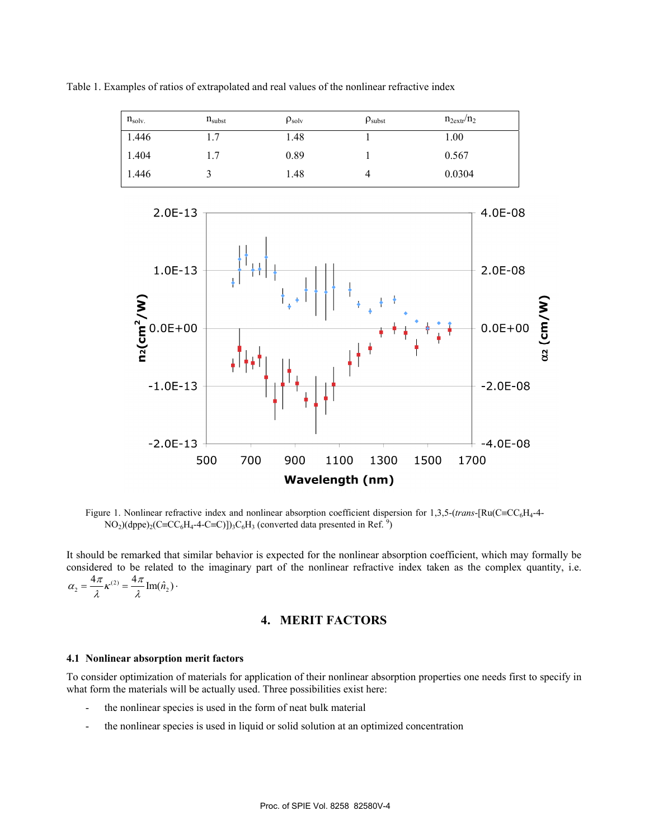| $n_{\text{solv}}$ | $n_{\text{subst}}$ | $\rho_{\text{solv}}$ | $\rho_{\text{subst}}$ | $n_{2\text{extr}}/n_2$ |
|-------------------|--------------------|----------------------|-----------------------|------------------------|
| 1.446             |                    | 1.48                 |                       | 1.00                   |
| 1.404             | 1.7                | 0.89                 |                       | 0.567                  |
| 1.446             |                    | 1.48                 |                       | 0.0304                 |

Table 1. Examples of ratios of extrapolated and real values of the nonlinear refractive index



Figure 1. Nonlinear refractive index and nonlinear absorption coefficient dispersion for 1,3,5-(*trans*-[Ru(C≡CC6H4-4-  $NO<sub>2</sub>)(dppe)<sub>2</sub>(C \equiv CC<sub>6</sub>H<sub>4</sub>-4-C \equiv C)]$ <sub>3</sub>C<sub>6</sub>H<sub>3</sub> (converted data presented in Ref. <sup>9</sup>)

It should be remarked that similar behavior is expected for the nonlinear absorption coefficient, which may formally be considered to be related to the imaginary part of the nonlinear refractive index taken as the complex quantity, i.e.  $\alpha_2 = \frac{4\pi}{\lambda} \kappa^{(2)} = \frac{4\pi}{\lambda} \text{Im}(\hat{n}_2)$ .

## **4. MERIT FACTORS**

#### **4.1 Nonlinear absorption merit factors**

To consider optimization of materials for application of their nonlinear absorption properties one needs first to specify in what form the materials will be actually used. Three possibilities exist here:

- the nonlinear species is used in the form of neat bulk material
- the nonlinear species is used in liquid or solid solution at an optimized concentration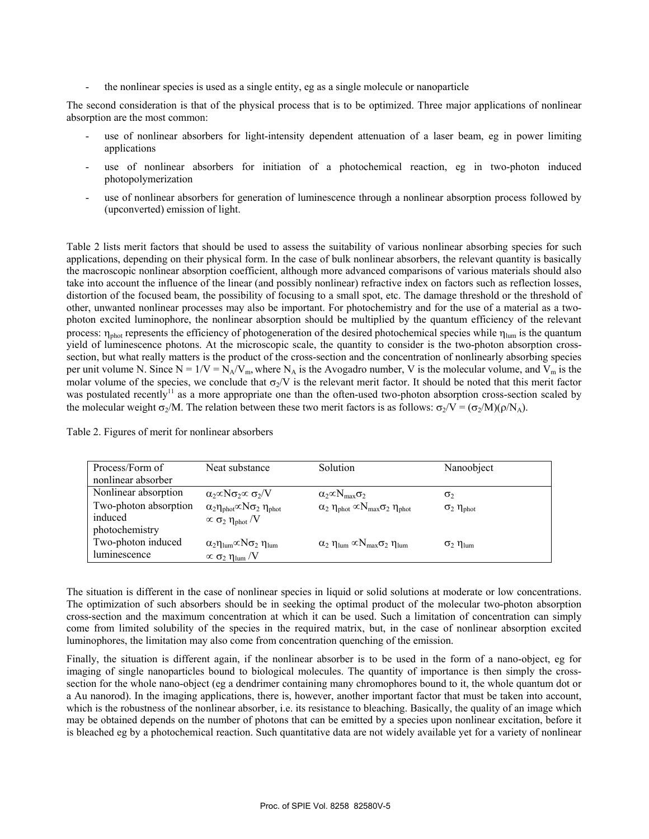the nonlinear species is used as a single entity, eg as a single molecule or nanoparticle

The second consideration is that of the physical process that is to be optimized. Three major applications of nonlinear absorption are the most common:

- use of nonlinear absorbers for light-intensity dependent attenuation of a laser beam, eg in power limiting applications
- use of nonlinear absorbers for initiation of a photochemical reaction, eg in two-photon induced photopolymerization
- use of nonlinear absorbers for generation of luminescence through a nonlinear absorption process followed by (upconverted) emission of light.

Table 2 lists merit factors that should be used to assess the suitability of various nonlinear absorbing species for such applications, depending on their physical form. In the case of bulk nonlinear absorbers, the relevant quantity is basically the macroscopic nonlinear absorption coefficient, although more advanced comparisons of various materials should also take into account the influence of the linear (and possibly nonlinear) refractive index on factors such as reflection losses, distortion of the focused beam, the possibility of focusing to a small spot, etc. The damage threshold or the threshold of other, unwanted nonlinear processes may also be important. For photochemistry and for the use of a material as a twophoton excited luminophore, the nonlinear absorption should be multiplied by the quantum efficiency of the relevant process: ηphot represents the efficiency of photogeneration of the desired photochemical species while ηlum is the quantum yield of luminescence photons. At the microscopic scale, the quantity to consider is the two-photon absorption crosssection, but what really matters is the product of the cross-section and the concentration of nonlinearly absorbing species per unit volume N. Since  $N = 1/V = N_A/V_m$ , where  $N_A$  is the Avogadro number, V is the molecular volume, and  $V_m$  is the molar volume of the species, we conclude that  $\sigma_2/V$  is the relevant merit factor. It should be noted that this merit factor was postulated recently<sup>11</sup> as a more appropriate one than the often-used two-photon absorption cross-section scaled by the molecular weight  $\sigma_2/M$ . The relation between these two merit factors is as follows:  $\sigma_2/V = (\sigma_2/M)(\rho/N_A)$ .

| Process/Form of       | Neat substance                                                    | Solution                                                                         | Nanoobject                      |
|-----------------------|-------------------------------------------------------------------|----------------------------------------------------------------------------------|---------------------------------|
| nonlinear absorber    |                                                                   |                                                                                  |                                 |
| Nonlinear absorption  | $\alpha_2 \propto N \sigma_2 \propto \sigma_2/V$                  | $\alpha_2 \propto N_{\text{max}} \sigma_2$                                       | $\sigma_2$                      |
| Two-photon absorption | $\alpha_2 \eta_{phot} \propto N \sigma_2 \eta_{phot}$             | $\alpha_2 \eta_{\text{phot}} \propto N_{\text{max}} \sigma_2 \eta_{\text{phot}}$ | $\sigma_2$ $\eta_{\text{phot}}$ |
| induced               | $\propto$ σ <sub>2</sub> η <sub>phot</sub> /V                     |                                                                                  |                                 |
| photochemistry        |                                                                   |                                                                                  |                                 |
| Two-photon induced    | $\alpha_2 \eta_{\text{lum}} \propto N \sigma_2 \eta_{\text{lum}}$ | $\alpha_2$ $\eta_{\text{lum}} \propto N_{\text{max}} \sigma_2 \eta_{\text{lum}}$ | $\sigma_2$ $\eta_{\text{lum}}$  |
| luminescence          | $\propto \sigma_2 \eta_{\text{lum}}/V$                            |                                                                                  |                                 |

The situation is different in the case of nonlinear species in liquid or solid solutions at moderate or low concentrations. The optimization of such absorbers should be in seeking the optimal product of the molecular two-photon absorption cross-section and the maximum concentration at which it can be used. Such a limitation of concentration can simply come from limited solubility of the species in the required matrix, but, in the case of nonlinear absorption excited luminophores, the limitation may also come from concentration quenching of the emission.

Finally, the situation is different again, if the nonlinear absorber is to be used in the form of a nano-object, eg for imaging of single nanoparticles bound to biological molecules. The quantity of importance is then simply the crosssection for the whole nano-object (eg a dendrimer containing many chromophores bound to it, the whole quantum dot or a Au nanorod). In the imaging applications, there is, however, another important factor that must be taken into account, which is the robustness of the nonlinear absorber, i.e. its resistance to bleaching. Basically, the quality of an image which may be obtained depends on the number of photons that can be emitted by a species upon nonlinear excitation, before it is bleached eg by a photochemical reaction. Such quantitative data are not widely available yet for a variety of nonlinear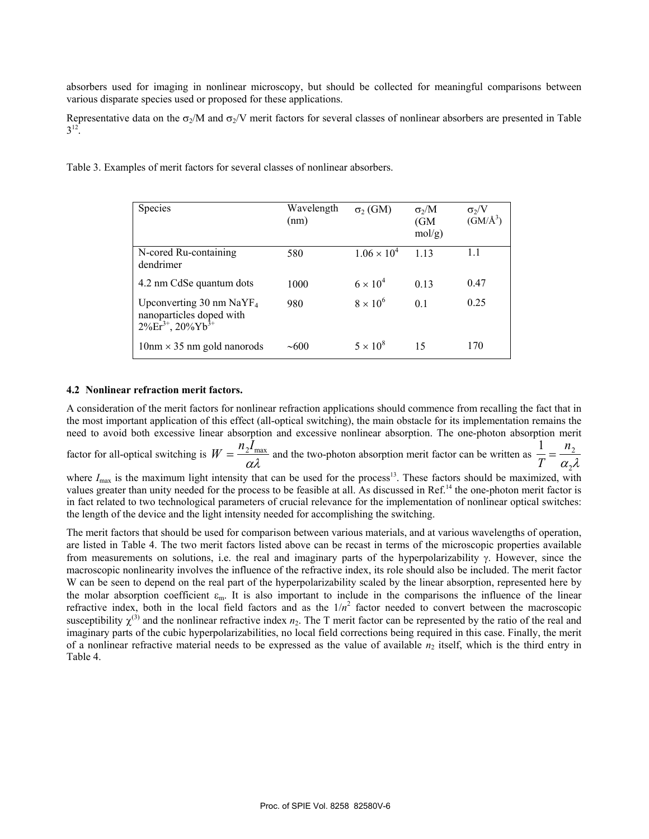absorbers used for imaging in nonlinear microscopy, but should be collected for meaningful comparisons between various disparate species used or proposed for these applications.

Representative data on the  $\sigma_2/M$  and  $\sigma_2/V$  merit factors for several classes of nonlinear absorbers are presented in Table  $3^{12}$ .

Table 3. Examples of merit factors for several classes of nonlinear absorbers.

| Species                                                                                | Wavelength<br>(nm) | $\sigma_2(GM)$       | $\sigma_2/M$<br>(GM)<br>mol/g) | $\sigma_2/V$<br>$(GM/\AA^3)$ |
|----------------------------------------------------------------------------------------|--------------------|----------------------|--------------------------------|------------------------------|
| N-cored Ru-containing<br>dendrimer                                                     | 580                | $1.06 \times 10^{4}$ | 1.13                           | 1.1                          |
| 4.2 nm CdSe quantum dots                                                               | 1000               | $6 \times 10^4$      | 0.13                           | 0.47                         |
| Upconverting 30 nm $NaYF4$<br>nanoparticles doped with<br>$2\%Er^{3+}$ , $20\%Yb^{3+}$ | 980                | $8 \times 10^6$      | 0.1                            | 0.25                         |
| $10 \text{nm} \times 35 \text{ nm}$ gold nanorods                                      | ~100               | $5 \times 10^8$      | 15                             | 170                          |

#### **4.2 Nonlinear refraction merit factors.**

A consideration of the merit factors for nonlinear refraction applications should commence from recalling the fact that in the most important application of this effect (all-optical switching), the main obstacle for its implementation remains the need to avoid both excessive linear absorption and excessive nonlinear absorption. The one-photon absorption merit factor for all-optical switching is  $W = \frac{n_2 I_{\text{max}}}{\alpha \lambda}$  and the two-photon absorption merit factor can be written as  $\frac{1}{T} = \frac{n_2}{\alpha_2 \lambda}$ where  $I_{\text{max}}$  is the maximum light intensity that can be used for the process<sup>13</sup>. These factors should be maximized, with values greater than unity needed for the process to be feasible at all. As discussed in Ref.<sup>14</sup> the one-photon merit factor is in fact related to two technological parameters of crucial relevance for the implementation of nonlinear optical switches: the length of the device and the light intensity needed for accomplishing the switching.

The merit factors that should be used for comparison between various materials, and at various wavelengths of operation, are listed in Table 4. The two merit factors listed above can be recast in terms of the microscopic properties available from measurements on solutions, i.e. the real and imaginary parts of the hyperpolarizability γ. However, since the macroscopic nonlinearity involves the influence of the refractive index, its role should also be included. The merit factor W can be seen to depend on the real part of the hyperpolarizability scaled by the linear absorption, represented here by the molar absorption coefficient  $\varepsilon_m$ . It is also important to include in the comparisons the influence of the linear refractive index, both in the local field factors and as the  $1/n^2$  factor needed to convert between the macroscopic susceptibility  $\chi^{(3)}$  and the nonlinear refractive index  $n_2$ . The T merit factor can be represented by the ratio of the real and imaginary parts of the cubic hyperpolarizabilities, no local field corrections being required in this case. Finally, the merit of a nonlinear refractive material needs to be expressed as the value of available *n*2 itself, which is the third entry in Table 4.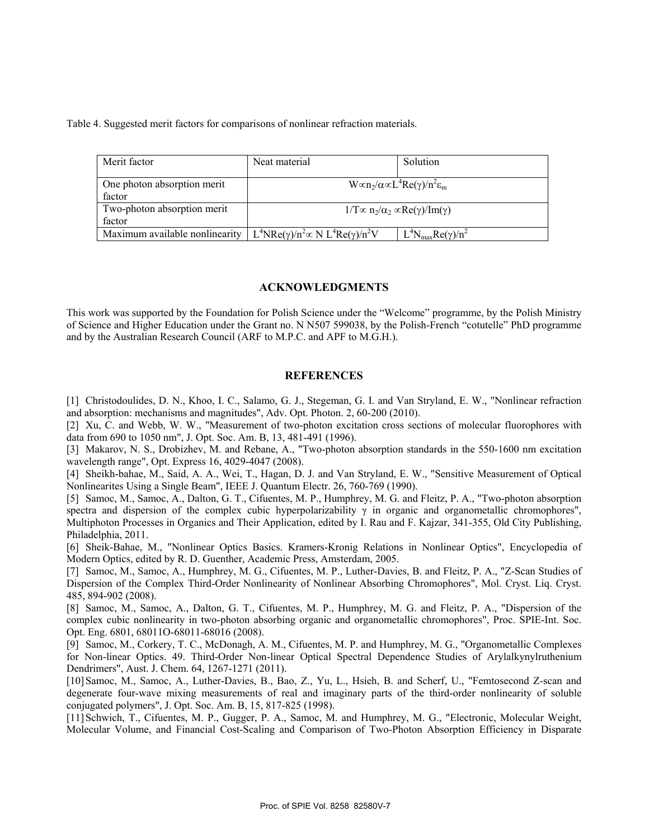Table 4. Suggested merit factors for comparisons of nonlinear refraction materials.

| Merit factor                                                                          | Neat material                                                | <b>Solution</b>            |  |
|---------------------------------------------------------------------------------------|--------------------------------------------------------------|----------------------------|--|
| One photon absorption merit<br>factor                                                 | $W \propto n_2/\alpha \propto L^4 Re(\gamma)/n^2 \epsilon_m$ |                            |  |
| Two-photon absorption merit<br>factor                                                 | $1/T \propto n_2/\alpha_2 \propto Re(\gamma)/Im(\gamma)$     |                            |  |
| Maximum available nonlinearity $\mid L^4NRe(\gamma)/n^2 \propto N L^4Re(\gamma)/n^2V$ |                                                              | $L^4N_{max}Re(\gamma)/n^2$ |  |

#### **ACKNOWLEDGMENTS**

This work was supported by the Foundation for Polish Science under the "Welcome" programme, by the Polish Ministry of Science and Higher Education under the Grant no. N N507 599038, by the Polish-French "cotutelle" PhD programme and by the Australian Research Council (ARF to M.P.C. and APF to M.G.H.).

#### **REFERENCES**

[1] Christodoulides, D. N., Khoo, I. C., Salamo, G. J., Stegeman, G. I. and Van Stryland, E. W., "Nonlinear refraction and absorption: mechanisms and magnitudes", Adv. Opt. Photon. 2, 60-200 (2010).

[2] Xu, C. and Webb, W. W., "Measurement of two-photon excitation cross sections of molecular fluorophores with data from 690 to 1050 nm", J. Opt. Soc. Am. B, 13, 481-491 (1996).

[3] Makarov, N. S., Drobizhev, M. and Rebane, A., "Two-photon absorption standards in the 550-1600 nm excitation wavelength range", Opt. Express 16, 4029-4047 (2008).

[4] Sheikh-bahae, M., Said, A. A., Wei, T., Hagan, D. J. and Van Stryland, E. W., "Sensitive Measurement of Optical Nonlinearites Using a Single Beam", IEEE J. Quantum Electr. 26, 760-769 (1990).

[5] Samoc, M., Samoc, A., Dalton, G. T., Cifuentes, M. P., Humphrey, M. G. and Fleitz, P. A., "Two-photon absorption spectra and dispersion of the complex cubic hyperpolarizability  $\gamma$  in organic and organometallic chromophores", Multiphoton Processes in Organics and Their Application, edited by I. Rau and F. Kajzar, 341-355, Old City Publishing, Philadelphia, 2011.

[6] Sheik-Bahae, M., "Nonlinear Optics Basics. Kramers-Kronig Relations in Nonlinear Optics", Encyclopedia of Modern Optics, edited by R. D. Guenther, Academic Press, Amsterdam, 2005.

[7] Samoc, M., Samoc, A., Humphrey, M. G., Cifuentes, M. P., Luther-Davies, B. and Fleitz, P. A., "Z-Scan Studies of Dispersion of the Complex Third-Order Nonlinearity of Nonlinear Absorbing Chromophores", Mol. Cryst. Liq. Cryst. 485, 894-902 (2008).

[8] Samoc, M., Samoc, A., Dalton, G. T., Cifuentes, M. P., Humphrey, M. G. and Fleitz, P. A., "Dispersion of the complex cubic nonlinearity in two-photon absorbing organic and organometallic chromophores", Proc. SPIE-Int. Soc. Opt. Eng. 6801, 68011O-68011-68016 (2008).

[9] Samoc, M., Corkery, T. C., McDonagh, A. M., Cifuentes, M. P. and Humphrey, M. G., "Organometallic Complexes for Non-linear Optics. 49. Third-Order Non-linear Optical Spectral Dependence Studies of Arylalkynylruthenium Dendrimers", Aust. J. Chem. 64, 1267-1271 (2011).

[10]Samoc, M., Samoc, A., Luther-Davies, B., Bao, Z., Yu, L., Hsieh, B. and Scherf, U., "Femtosecond Z-scan and degenerate four-wave mixing measurements of real and imaginary parts of the third-order nonlinearity of soluble conjugated polymers", J. Opt. Soc. Am. B, 15, 817-825 (1998).

[11]Schwich, T., Cifuentes, M. P., Gugger, P. A., Samoc, M. and Humphrey, M. G., "Electronic, Molecular Weight, Molecular Volume, and Financial Cost-Scaling and Comparison of Two-Photon Absorption Efficiency in Disparate